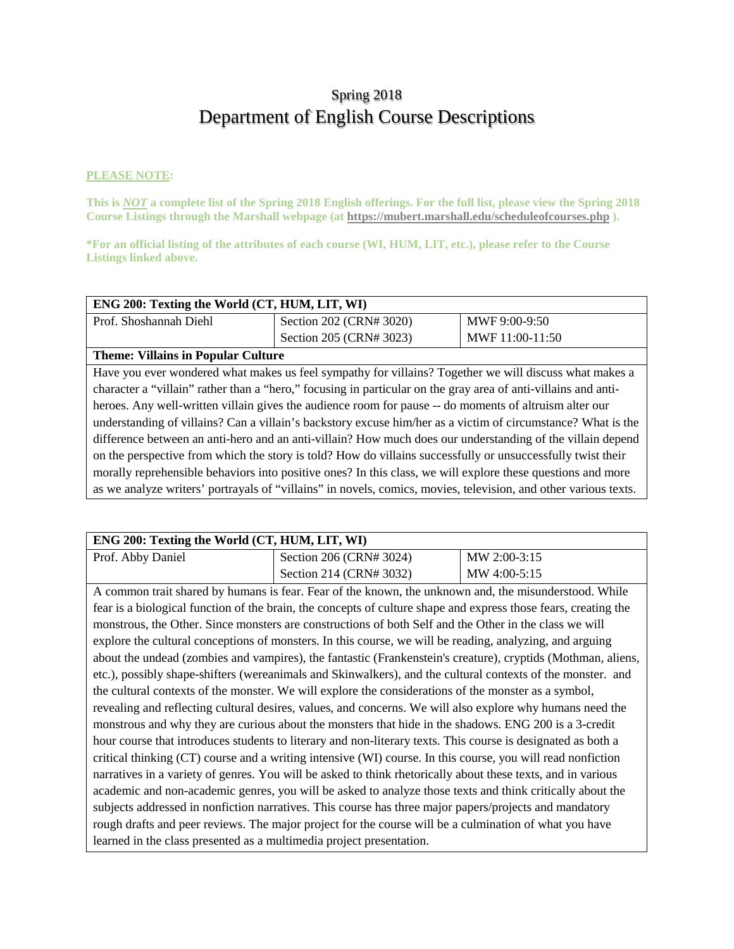# Spring 2018 Department of English Course Descriptions

#### **PLEASE NOTE:**

**This is** *NOT* **a complete list of the Spring 2018 English offerings. For the full list, please view the Spring 2018 Course Listings through the Marshall webpage (at https://mubert.marshall.edu/scheduleofcourses.php ).**

**\*For an official listing of the attributes of each course (WI, HUM, LIT, etc.), please refer to the Course Listings linked above.**

| ENG 200: Texting the World (CT, HUM, LIT, WI)                                                                   |                         |                 |
|-----------------------------------------------------------------------------------------------------------------|-------------------------|-----------------|
| Prof. Shoshannah Diehl                                                                                          | Section 202 (CRN# 3020) | MWF 9:00-9:50   |
|                                                                                                                 | Section 205 (CRN# 3023) | MWF 11:00-11:50 |
| <b>Theme: Villains in Popular Culture</b>                                                                       |                         |                 |
| Have you ever wondered what makes us feel sympathy for villains? Together we will discuss what makes a          |                         |                 |
| character a "villain" rather than a "hero," focusing in particular on the gray area of anti-villains and anti-  |                         |                 |
| heroes. Any well-written villain gives the audience room for pause -- do moments of altruism alter our          |                         |                 |
| understanding of villains? Can a villain's backstory excuse him/her as a victim of circumstance? What is the    |                         |                 |
| difference between an anti-hero and an anti-villain? How much does our understanding of the villain depend      |                         |                 |
| on the perspective from which the story is told? How do villains successfully or unsuccessfully twist their     |                         |                 |
| morally reprehensible behaviors into positive ones? In this class, we will explore these questions and more     |                         |                 |
| as we analyze writers' portrayals of "villains" in novels, comics, movies, television, and other various texts. |                         |                 |

| ENG 200: Texting the World (CT, HUM, LIT, WI) |                         |                |
|-----------------------------------------------|-------------------------|----------------|
| Prof. Abby Daniel                             | Section 206 (CRN# 3024) | $MW 2:00-3:15$ |
|                                               | Section 214 (CRN# 3032) | MW 4:00-5:15   |

A common trait shared by humans is fear. Fear of the known, the unknown and, the misunderstood. While fear is a biological function of the brain, the concepts of culture shape and express those fears, creating the monstrous, the Other. Since monsters are constructions of both Self and the Other in the class we will explore the cultural conceptions of monsters. In this course, we will be reading, analyzing, and arguing about the undead (zombies and vampires), the fantastic (Frankenstein's creature), cryptids (Mothman, aliens, etc.), possibly shape-shifters (wereanimals and Skinwalkers), and the cultural contexts of the monster. and the cultural contexts of the monster. We will explore the considerations of the monster as a symbol, revealing and reflecting cultural desires, values, and concerns. We will also explore why humans need the monstrous and why they are curious about the monsters that hide in the shadows. ENG 200 is a 3-credit hour course that introduces students to literary and non-literary texts. This course is designated as both a critical thinking (CT) course and a writing intensive (WI) course. In this course, you will read nonfiction narratives in a variety of genres. You will be asked to think rhetorically about these texts, and in various academic and non-academic genres, you will be asked to analyze those texts and think critically about the subjects addressed in nonfiction narratives. This course has three major papers/projects and mandatory rough drafts and peer reviews. The major project for the course will be a culmination of what you have learned in the class presented as a multimedia project presentation.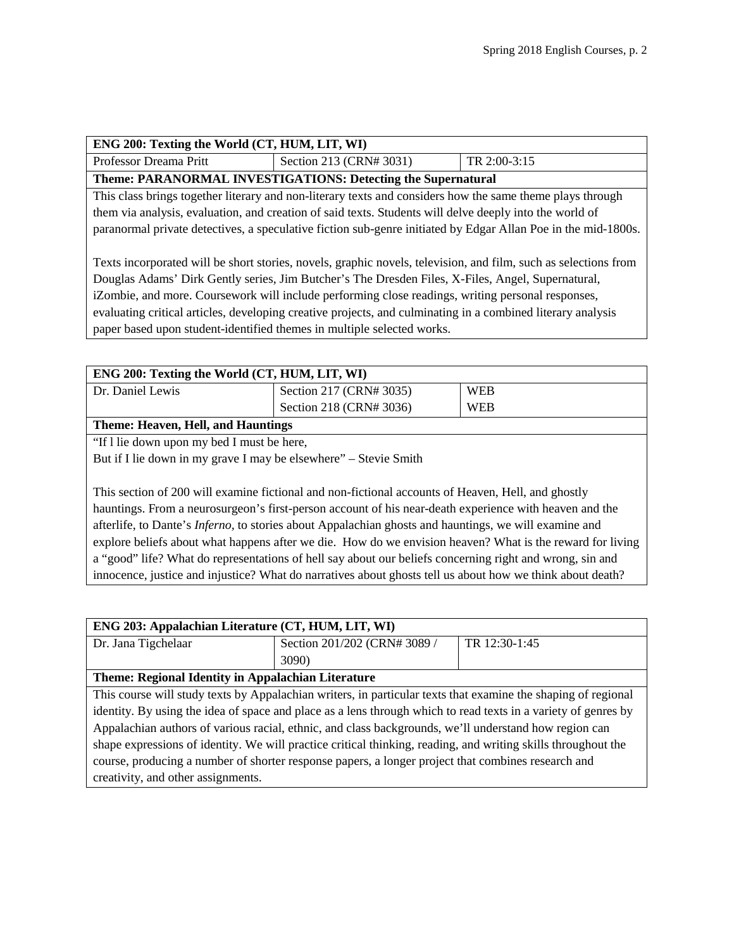| ENG 200: Texting the World (CT, HUM, LIT, WI)                                                                   |                                                                                                             |              |
|-----------------------------------------------------------------------------------------------------------------|-------------------------------------------------------------------------------------------------------------|--------------|
| Professor Dreama Pritt                                                                                          | Section 213 (CRN# 3031)                                                                                     | TR 2:00-3:15 |
|                                                                                                                 | Theme: PARANORMAL INVESTIGATIONS: Detecting the Supernatural                                                |              |
|                                                                                                                 | This class brings together literary and non-literary texts and considers how the same theme plays through   |              |
| them via analysis, evaluation, and creation of said texts. Students will delve deeply into the world of         |                                                                                                             |              |
| paranormal private detectives, a speculative fiction sub-genre initiated by Edgar Allan Poe in the mid-1800s.   |                                                                                                             |              |
|                                                                                                                 |                                                                                                             |              |
| Texts incorporated will be short stories, novels, graphic novels, television, and film, such as selections from |                                                                                                             |              |
| Douglas Adams' Dirk Gently series, Jim Butcher's The Dresden Files, X-Files, Angel, Supernatural,               |                                                                                                             |              |
| iZombie, and more. Coursework will include performing close readings, writing personal responses,               |                                                                                                             |              |
|                                                                                                                 | evaluating critical articles, developing creative projects, and culminating in a combined literary analysis |              |
| paper based upon student-identified themes in multiple selected works.                                          |                                                                                                             |              |

| ENG 200: Texting the World (CT, HUM, LIT, WI)                                                          |                         |            |
|--------------------------------------------------------------------------------------------------------|-------------------------|------------|
| Dr. Daniel Lewis                                                                                       | Section 217 (CRN# 3035) | <b>WEB</b> |
|                                                                                                        | Section 218 (CRN# 3036) | <b>WEB</b> |
| <b>Theme: Heaven, Hell, and Hauntings</b>                                                              |                         |            |
| "If I lie down upon my bed I must be here,                                                             |                         |            |
| But if I lie down in my grave I may be elsewhere" – Stevie Smith                                       |                         |            |
|                                                                                                        |                         |            |
| This section of 200 will examine fictional and non-fictional accounts of Heaven, Hell, and ghostly     |                         |            |
| hauntings. From a neurosurgeon's first-person account of his near-death experience with heaven and the |                         |            |

hauntings. From a neurosurgeon's first-person account of his near-death experience with heaven and the afterlife, to Dante's *Inferno,* to stories about Appalachian ghosts and hauntings, we will examine and explore beliefs about what happens after we die. How do we envision heaven? What is the reward for living a "good" life? What do representations of hell say about our beliefs concerning right and wrong, sin and innocence, justice and injustice? What do narratives about ghosts tell us about how we think about death?

| ENG 203: Appalachian Literature (CT, HUM, LIT, WI)                                                             |                              |               |
|----------------------------------------------------------------------------------------------------------------|------------------------------|---------------|
| Dr. Jana Tigchelaar                                                                                            | Section 201/202 (CRN# 3089 / | TR 12:30-1:45 |
|                                                                                                                | <b>3090</b> )                |               |
| Theme: Regional Identity in Appalachian Literature                                                             |                              |               |
| This course will study texts by Appalachian writers, in particular texts that examine the shaping of regional  |                              |               |
| identity. By using the idea of space and place as a lens through which to read texts in a variety of genres by |                              |               |
| Appalachian authors of various racial, ethnic, and class backgrounds, we'll understand how region can          |                              |               |
| shape expressions of identity. We will practice critical thinking, reading, and writing skills throughout the  |                              |               |
| course, producing a number of shorter response papers, a longer project that combines research and             |                              |               |
| creativity, and other assignments.                                                                             |                              |               |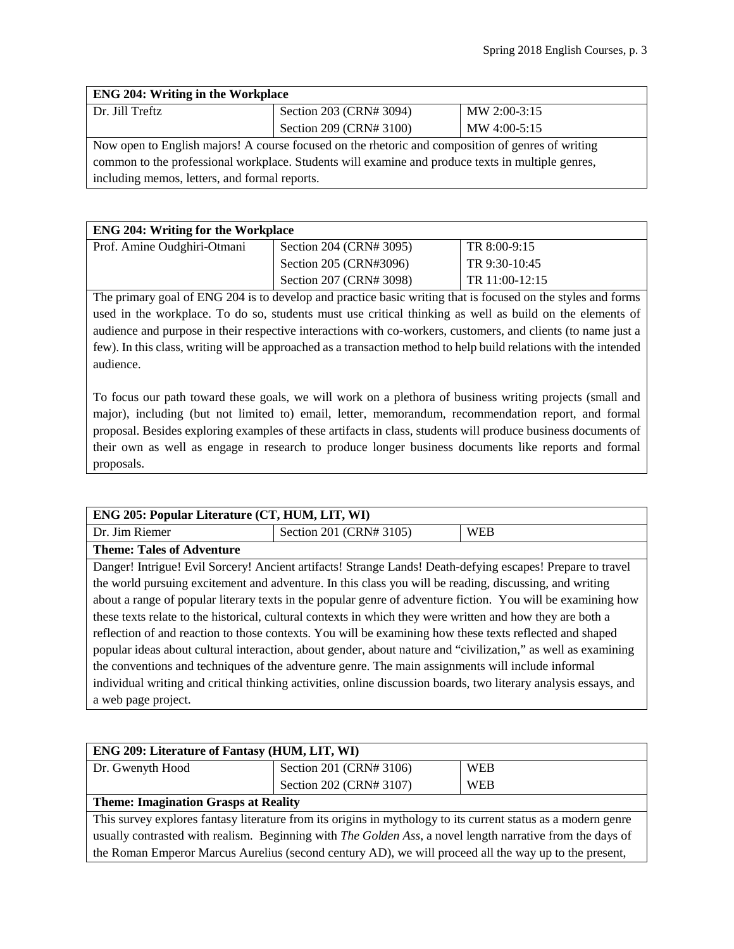| <b>ENG 204: Writing in the Workplace</b>                                                          |                         |              |
|---------------------------------------------------------------------------------------------------|-------------------------|--------------|
| Dr. Jill Treftz                                                                                   | Section 203 (CRN# 3094) | MW 2:00-3:15 |
|                                                                                                   | Section 209 (CRN# 3100) | MW 4:00-5:15 |
| Now open to English majors! A course focused on the rhetoric and composition of genres of writing |                         |              |
| common to the professional workplace. Students will examine and produce texts in multiple genres, |                         |              |
| including memos, letters, and formal reports.                                                     |                         |              |

| <b>ENG 204: Writing for the Workplace</b> |                         |                |
|-------------------------------------------|-------------------------|----------------|
| Prof. Amine Oudghiri-Otmani               | Section 204 (CRN# 3095) | TR 8:00-9:15   |
|                                           | Section 205 (CRN#3096)  | TR 9:30-10:45  |
|                                           | Section 207 (CRN# 3098) | TR 11:00-12:15 |

The primary goal of ENG 204 is to develop and practice basic writing that is focused on the styles and forms used in the workplace. To do so, students must use critical thinking as well as build on the elements of audience and purpose in their respective interactions with co-workers, customers, and clients (to name just a few). In this class, writing will be approached as a transaction method to help build relations with the intended audience.

To focus our path toward these goals, we will work on a plethora of business writing projects (small and major), including (but not limited to) email, letter, memorandum, recommendation report, and formal proposal. Besides exploring examples of these artifacts in class, students will produce business documents of their own as well as engage in research to produce longer business documents like reports and formal proposals.

| ENG 205: Popular Literature (CT, HUM, LIT, WI)                                                                   |                                                                                                            |            |
|------------------------------------------------------------------------------------------------------------------|------------------------------------------------------------------------------------------------------------|------------|
| Dr. Jim Riemer                                                                                                   | Section 201 (CRN# 3105)                                                                                    | <b>WEB</b> |
| <b>Theme: Tales of Adventure</b>                                                                                 |                                                                                                            |            |
|                                                                                                                  | Danger! Intrigue! Evil Sorcery! Ancient artifacts! Strange Lands! Death-defying escapes! Prepare to travel |            |
| the world pursuing excitement and adventure. In this class you will be reading, discussing, and writing          |                                                                                                            |            |
| about a range of popular literary texts in the popular genre of adventure fiction. You will be examining how     |                                                                                                            |            |
| these texts relate to the historical, cultural contexts in which they were written and how they are both a       |                                                                                                            |            |
| reflection of and reaction to those contexts. You will be examining how these texts reflected and shaped         |                                                                                                            |            |
| popular ideas about cultural interaction, about gender, about nature and "civilization," as well as examining    |                                                                                                            |            |
| the conventions and techniques of the adventure genre. The main assignments will include informal                |                                                                                                            |            |
| individual writing and critical thinking activities, online discussion boards, two literary analysis essays, and |                                                                                                            |            |
| a web page project.                                                                                              |                                                                                                            |            |

| <b>ENG 209: Literature of Fantasy (HUM, LIT, WI)</b>                                                              |                         |            |
|-------------------------------------------------------------------------------------------------------------------|-------------------------|------------|
| Dr. Gwenyth Hood                                                                                                  | Section 201 (CRN# 3106) | <b>WEB</b> |
|                                                                                                                   | Section 202 (CRN# 3107) | <b>WEB</b> |
| <b>Theme: Imagination Grasps at Reality</b>                                                                       |                         |            |
| This survey explores fantasy literature from its origins in mythology to its current status as a modern genre     |                         |            |
| usually contrasted with realism. Beginning with <i>The Golden Ass</i> , a novel length narrative from the days of |                         |            |
| the Roman Emperor Marcus Aurelius (second century AD), we will proceed all the way up to the present,             |                         |            |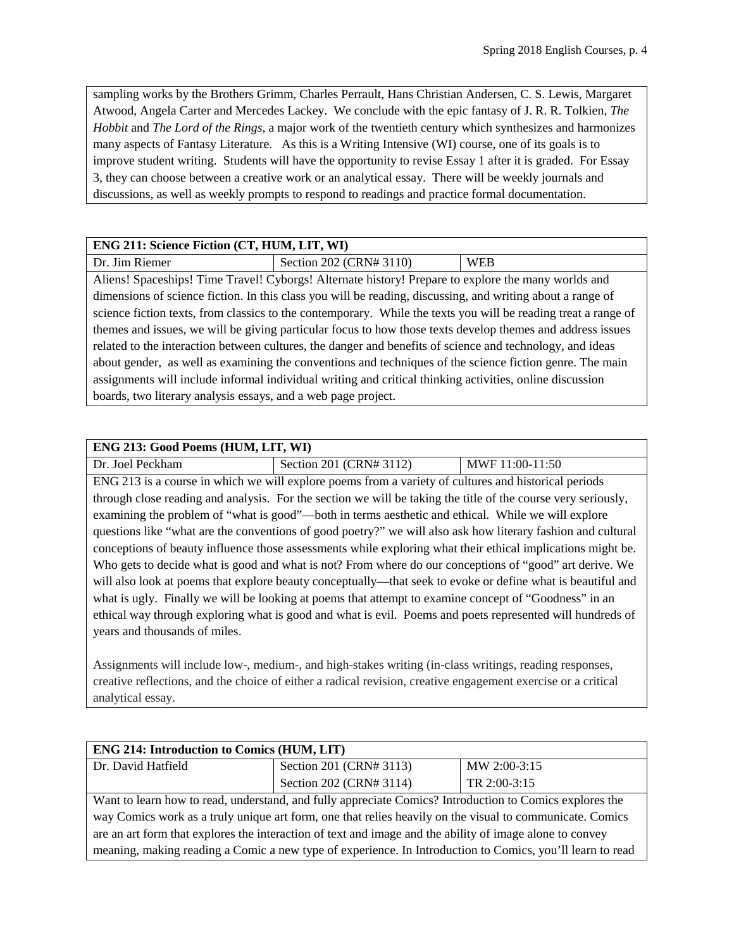sampling works by the Brothers Grimm, Charles Perrault, Hans Christian Andersen, C. S. Lewis, Margaret Atwood, Angela Carter and Mercedes Lackey. We conclude with the epic fantasy of J. R. R. Tolkien, *The Hobbit* and *The Lord of the Rings*, a major work of the twentieth century which synthesizes and harmonizes many aspects of Fantasy Literature. As this is a Writing Intensive (WI) course, one of its goals is to improve student writing. Students will have the opportunity to revise Essay 1 after it is graded. For Essay 3, they can choose between a creative work or an analytical essay. There will be weekly journals and discussions, as well as weekly prompts to respond to readings and practice formal documentation.

# **ENG 211: Science Fiction (CT, HUM, LIT, WI)**

| .                            |                                          |   |
|------------------------------|------------------------------------------|---|
| Dr<br>. Riemer<br>$\rm{11m}$ | N# 3110):<br>2022<br>"<br>Section<br>∹к≀ | W |
|                              |                                          |   |

Aliens! Spaceships! Time Travel! Cyborgs! Alternate history! Prepare to explore the many worlds and dimensions of science fiction. In this class you will be reading, discussing, and writing about a range of science fiction texts, from classics to the contemporary. While the texts you will be reading treat a range of themes and issues, we will be giving particular focus to how those texts develop themes and address issues related to the interaction between cultures, the danger and benefits of science and technology, and ideas about gender, as well as examining the conventions and techniques of the science fiction genre. The main assignments will include informal individual writing and critical thinking activities, online discussion boards, two literary analysis essays, and a web page project.

### **ENG 213: Good Poems (HUM, LIT, WI)**

Dr. Joel Peckham Section 201 (CRN# 3112) MWF 11:00-11:50 ENG 213 is a course in which we will explore poems from a variety of cultures and historical periods through close reading and analysis. For the section we will be taking the title of the course very seriously, examining the problem of "what is good"—both in terms aesthetic and ethical. While we will explore questions like "what are the conventions of good poetry?" we will also ask how literary fashion and cultural conceptions of beauty influence those assessments while exploring what their ethical implications might be. Who gets to decide what is good and what is not? From where do our conceptions of "good" art derive. We will also look at poems that explore beauty conceptually—that seek to evoke or define what is beautiful and what is ugly. Finally we will be looking at poems that attempt to examine concept of "Goodness" in an ethical way through exploring what is good and what is evil. Poems and poets represented will hundreds of years and thousands of miles.

Assignments will include low-, medium-, and high-stakes writing (in-class writings, reading responses, creative reflections, and the choice of either a radical revision, creative engagement exercise or a critical analytical essay.

| <b>ENG 214: Introduction to Comics (HUM, LIT)</b>                                                         |                         |              |
|-----------------------------------------------------------------------------------------------------------|-------------------------|--------------|
| Dr. David Hatfield                                                                                        | Section 201 (CRN# 3113) | MW 2:00-3:15 |
|                                                                                                           | Section 202 (CRN# 3114) | TR 2:00-3:15 |
| Want to learn how to read, understand, and fully appreciate Comics? Introduction to Comics explores the   |                         |              |
| way Comics work as a truly unique art form, one that relies heavily on the visual to communicate. Comics  |                         |              |
| are an art form that explores the interaction of text and image and the ability of image alone to convey  |                         |              |
| meaning, making reading a Comic a new type of experience. In Introduction to Comics, you'll learn to read |                         |              |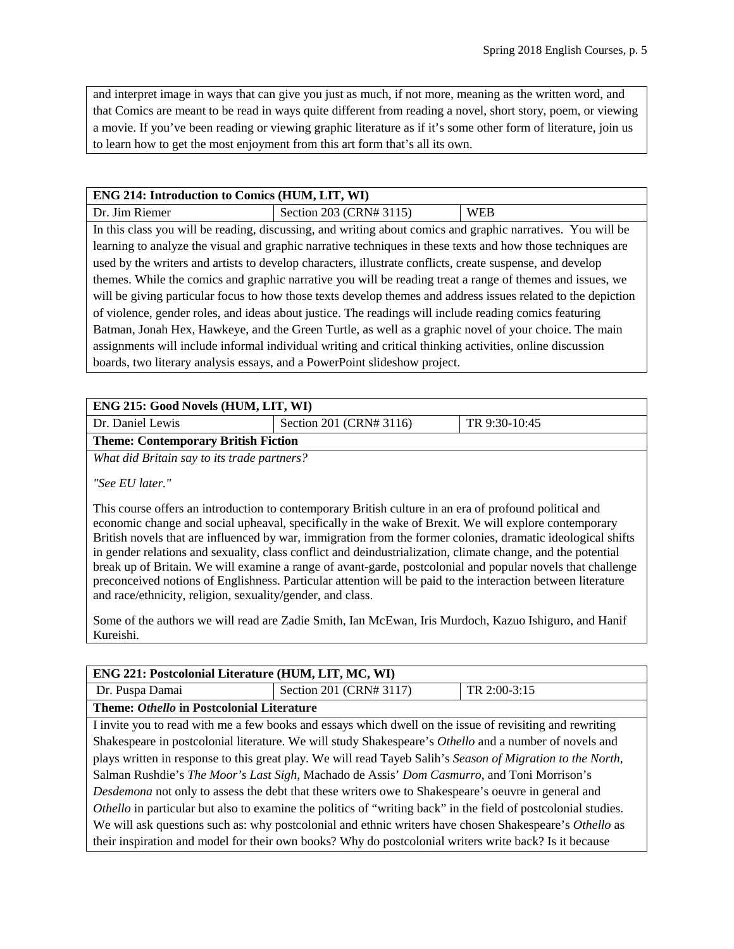and interpret image in ways that can give you just as much, if not more, meaning as the written word, and that Comics are meant to be read in ways quite different from reading a novel, short story, poem, or viewing a movie. If you've been reading or viewing graphic literature as if it's some other form of literature, join us to learn how to get the most enjoyment from this art form that's all its own.

#### **ENG 214: Introduction to Comics (HUM, LIT, WI)**

| Dr. Jim Riemer                                                                                                | Section 203 (CRN# 3115)                                                                                     | <b>WEB</b> |
|---------------------------------------------------------------------------------------------------------------|-------------------------------------------------------------------------------------------------------------|------------|
|                                                                                                               | In this class you will be reading, discussing, and writing about comics and graphic narratives. You will be |            |
|                                                                                                               | learning to analyze the visual and graphic narrative techniques in these texts and how those techniques are |            |
| used by the writers and artists to develop characters, illustrate conflicts, create suspense, and develop     |                                                                                                             |            |
| themes. While the comics and graphic narrative you will be reading treat a range of themes and issues, we     |                                                                                                             |            |
| will be giving particular focus to how those texts develop themes and address issues related to the depiction |                                                                                                             |            |
| of violence, gender roles, and ideas about justice. The readings will include reading comics featuring        |                                                                                                             |            |
| Batman, Jonah Hex, Hawkeye, and the Green Turtle, as well as a graphic novel of your choice. The main         |                                                                                                             |            |
| assignments will include informal individual writing and critical thinking activities, online discussion      |                                                                                                             |            |
| boards, two literary analysis essays, and a PowerPoint slideshow project.                                     |                                                                                                             |            |

| <b>ENG 215: Good Novels (HUM, LIT, WI)</b> |                         |               |
|--------------------------------------------|-------------------------|---------------|
| Dr. Daniel Lewis                           | Section 201 (CRN# 3116) | TR 9:30-10:45 |
| <b>Theme: Contemporary British Fiction</b> |                         |               |

*What did Britain say to its trade partners?*

*"See EU later."*

This course offers an introduction to contemporary British culture in an era of profound political and economic change and social upheaval, specifically in the wake of Brexit. We will explore contemporary British novels that are influenced by war, immigration from the former colonies, dramatic ideological shifts in gender relations and sexuality, class conflict and deindustrialization, climate change, and the potential break up of Britain. We will examine a range of avant-garde, postcolonial and popular novels that challenge preconceived notions of Englishness. Particular attention will be paid to the interaction between literature and race/ethnicity, religion, sexuality/gender, and class.

Some of the authors we will read are Zadie Smith, Ian McEwan, Iris Murdoch, Kazuo Ishiguro, and Hanif Kureishi.

| ENG 221: Postcolonial Literature (HUM, LIT, MC, WI)                                                            |                                                                                                          |  |  |
|----------------------------------------------------------------------------------------------------------------|----------------------------------------------------------------------------------------------------------|--|--|
| Dr. Puspa Damai                                                                                                | Section 201 (CRN# 3117)<br>TR 2:00-3:15                                                                  |  |  |
| Theme: Othello in Postcolonial Literature                                                                      |                                                                                                          |  |  |
|                                                                                                                | I invite you to read with me a few books and essays which dwell on the issue of revisiting and rewriting |  |  |
| Shakespeare in postcolonial literature. We will study Shakespeare's Othello and a number of novels and         |                                                                                                          |  |  |
| plays written in response to this great play. We will read Tayeb Salih's Season of Migration to the North,     |                                                                                                          |  |  |
| Salman Rushdie's The Moor's Last Sigh, Machado de Assis' Dom Casmurro, and Toni Morrison's                     |                                                                                                          |  |  |
| Desdemona not only to assess the debt that these writers owe to Shakespeare's oeuvre in general and            |                                                                                                          |  |  |
| Othello in particular but also to examine the politics of "writing back" in the field of postcolonial studies. |                                                                                                          |  |  |
| We will ask questions such as: why postcolonial and ethnic writers have chosen Shakespeare's Othello as        |                                                                                                          |  |  |
| their inspiration and model for their own books? Why do postcolonial writers write back? Is it because         |                                                                                                          |  |  |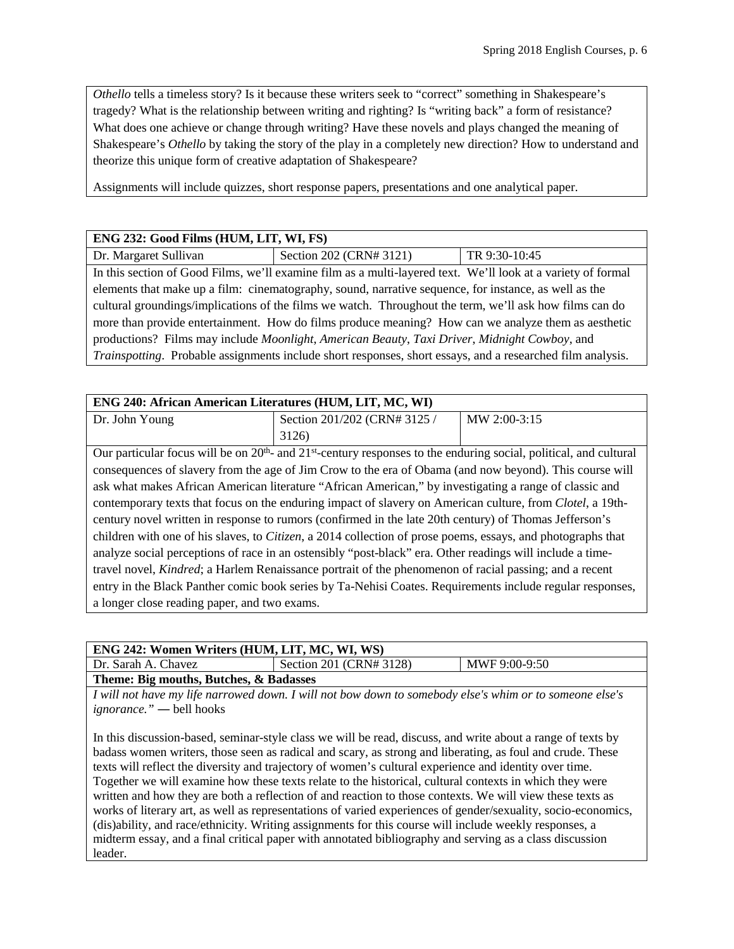*Othello* tells a timeless story? Is it because these writers seek to "correct" something in Shakespeare's tragedy? What is the relationship between writing and righting? Is "writing back" a form of resistance? What does one achieve or change through writing? Have these novels and plays changed the meaning of Shakespeare's *Othello* by taking the story of the play in a completely new direction? How to understand and theorize this unique form of creative adaptation of Shakespeare?

Assignments will include quizzes, short response papers, presentations and one analytical paper.

#### **ENG 232: Good Films (HUM, LIT, WI, FS)**

| Dr. Margaret Sullivan | Section 202 (CRN# 3121)                                                                                      | TR 9:30-10:45 |
|-----------------------|--------------------------------------------------------------------------------------------------------------|---------------|
|                       | In this section of Good Films, we'll examine film as a multi-layered text. We'll look at a variety of formal |               |
|                       |                                                                                                              |               |

elements that make up a film: cinematography, sound, narrative sequence, for instance, as well as the cultural groundings/implications of the films we watch. Throughout the term, we'll ask how films can do more than provide entertainment. How do films produce meaning? How can we analyze them as aesthetic productions? Films may include *Moonlight*, *American Beauty*, *Taxi Driver*, *Midnight Cowboy*, and *Trainspotting*. Probable assignments include short responses, short essays, and a researched film analysis.

# **ENG 240: African American Literatures (HUM, LIT, MC, WI)**

| Dr. John Young | Section 201/202 (CRN# 3125 / | MW 2:00-3:15 |
|----------------|------------------------------|--------------|
|                | 3126)                        |              |

Our particular focus will be on  $20<sup>th</sup>$  and  $21<sup>st</sup>$ -century responses to the enduring social, political, and cultural consequences of slavery from the age of Jim Crow to the era of Obama (and now beyond). This course will ask what makes African American literature "African American," by investigating a range of classic and contemporary texts that focus on the enduring impact of slavery on American culture, from *Clotel*, a 19thcentury novel written in response to rumors (confirmed in the late 20th century) of Thomas Jefferson's children with one of his slaves, to *Citizen*, a 2014 collection of prose poems, essays, and photographs that analyze social perceptions of race in an ostensibly "post-black" era. Other readings will include a timetravel novel, *Kindred*; a Harlem Renaissance portrait of the phenomenon of racial passing; and a recent entry in the Black Panther comic book series by Ta-Nehisi Coates. Requirements include regular responses, a longer close reading paper, and two exams.

| ENG 242: Women Writers (HUM, LIT, MC, WI, WS) |                         |               |  |
|-----------------------------------------------|-------------------------|---------------|--|
| Dr. Sarah A. Chavez                           | Section 201 (CRN# 3128) | MWF 9:00-9:50 |  |
| Theme: Big mouths, Butches, & Badasses        |                         |               |  |

*I will not have my life narrowed down. I will not bow down to somebody else's whim or to someone else's ignorance." ―* bell hooks

In this discussion-based, seminar-style class we will be read, discuss, and write about a range of texts by badass women writers, those seen as radical and scary, as strong and liberating, as foul and crude. These texts will reflect the diversity and trajectory of women's cultural experience and identity over time. Together we will examine how these texts relate to the historical, cultural contexts in which they were written and how they are both a reflection of and reaction to those contexts. We will view these texts as works of literary art, as well as representations of varied experiences of gender/sexuality, socio-economics, (dis)ability, and race/ethnicity. Writing assignments for this course will include weekly responses, a midterm essay, and a final critical paper with annotated bibliography and serving as a class discussion leader.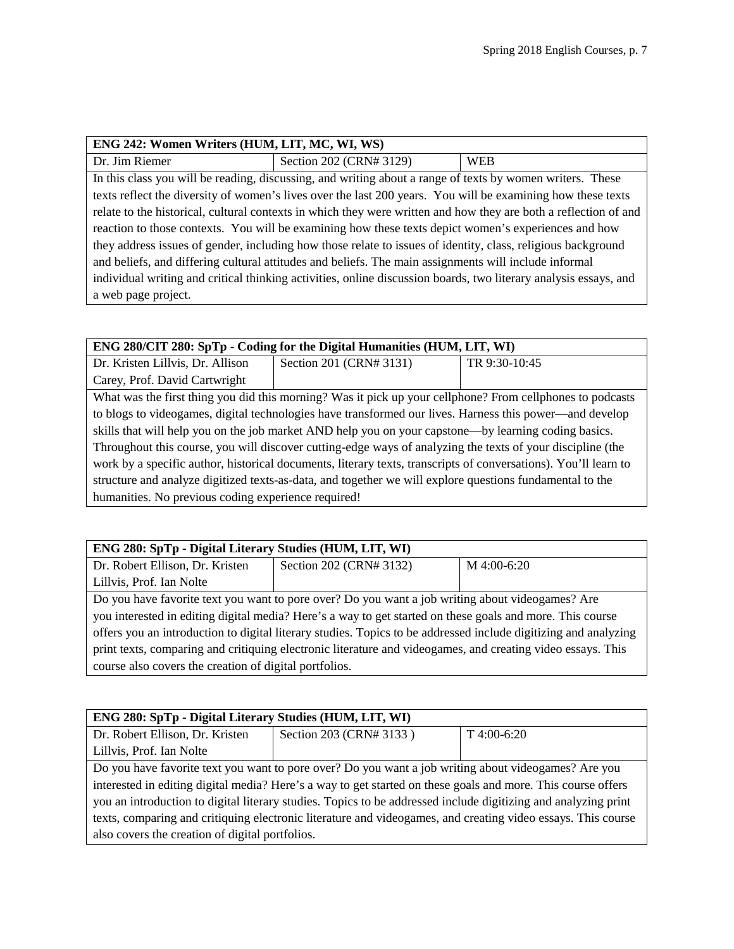| ENG 242: Women Writers (HUM, LIT, MC, WI, WS)                                                                    |                                                                                                             |            |
|------------------------------------------------------------------------------------------------------------------|-------------------------------------------------------------------------------------------------------------|------------|
| Dr. Jim Riemer                                                                                                   | Section 202 (CRN# 3129)                                                                                     | <b>WEB</b> |
|                                                                                                                  | In this class you will be reading, discussing, and writing about a range of texts by women writers. These   |            |
|                                                                                                                  | texts reflect the diversity of women's lives over the last 200 years. You will be examining how these texts |            |
| relate to the historical, cultural contexts in which they were written and how they are both a reflection of and |                                                                                                             |            |
| reaction to those contexts. You will be examining how these texts depict women's experiences and how             |                                                                                                             |            |
| they address issues of gender, including how those relate to issues of identity, class, religious background     |                                                                                                             |            |
| and beliefs, and differing cultural attitudes and beliefs. The main assignments will include informal            |                                                                                                             |            |
| individual writing and critical thinking activities, online discussion boards, two literary analysis essays, and |                                                                                                             |            |
| a web page project.                                                                                              |                                                                                                             |            |

| ENG 280/CIT 280: SpTp - Coding for the Digital Humanities (HUM, LIT, WI)                                        |                         |               |
|-----------------------------------------------------------------------------------------------------------------|-------------------------|---------------|
| Dr. Kristen Lillvis, Dr. Allison                                                                                | Section 201 (CRN# 3131) | TR 9:30-10:45 |
| Carey, Prof. David Cartwright                                                                                   |                         |               |
| What was the first thing you did this morning? Was it pick up your cellphone? From cellphones to podcasts       |                         |               |
| to blogs to videogames, digital technologies have transformed our lives. Harness this power—and develop         |                         |               |
| skills that will help you on the job market AND help you on your capstone—by learning coding basics.            |                         |               |
| Throughout this course, you will discover cutting-edge ways of analyzing the texts of your discipline (the      |                         |               |
| work by a specific author, historical documents, literary texts, transcripts of conversations). You'll learn to |                         |               |
| structure and analyze digitized texts-as-data, and together we will explore questions fundamental to the        |                         |               |
| humanities. No previous coding experience required!                                                             |                         |               |

| ENG 280: SpTp - Digital Literary Studies (HUM, LIT, WI)                                                         |                         |             |
|-----------------------------------------------------------------------------------------------------------------|-------------------------|-------------|
| Dr. Robert Ellison, Dr. Kristen                                                                                 | Section 202 (CRN# 3132) | M 4:00-6:20 |
| Lillvis, Prof. Ian Nolte                                                                                        |                         |             |
| Do you have favorite text you want to pore over? Do you want a job writing about videogames? Are                |                         |             |
| you interested in editing digital media? Here's a way to get started on these goals and more. This course       |                         |             |
| offers you an introduction to digital literary studies. Topics to be addressed include digitizing and analyzing |                         |             |
| print texts, comparing and critiquing electronic literature and videogames, and creating video essays. This     |                         |             |
| course also covers the creation of digital portfolios.                                                          |                         |             |

| ENG 280: SpTp - Digital Literary Studies (HUM, LIT, WI)                                                        |                         |                |
|----------------------------------------------------------------------------------------------------------------|-------------------------|----------------|
| Dr. Robert Ellison, Dr. Kristen                                                                                | Section 203 (CRN# 3133) | $T\,4:00-6:20$ |
| Lillvis, Prof. Ian Nolte                                                                                       |                         |                |
| Do you have favorite text you want to pore over? Do you want a job writing about videogames? Are you           |                         |                |
| interested in editing digital media? Here's a way to get started on these goals and more. This course offers   |                         |                |
| you an introduction to digital literary studies. Topics to be addressed include digitizing and analyzing print |                         |                |
| texts, comparing and critiquing electronic literature and videogames, and creating video essays. This course   |                         |                |
| also covers the creation of digital portfolios.                                                                |                         |                |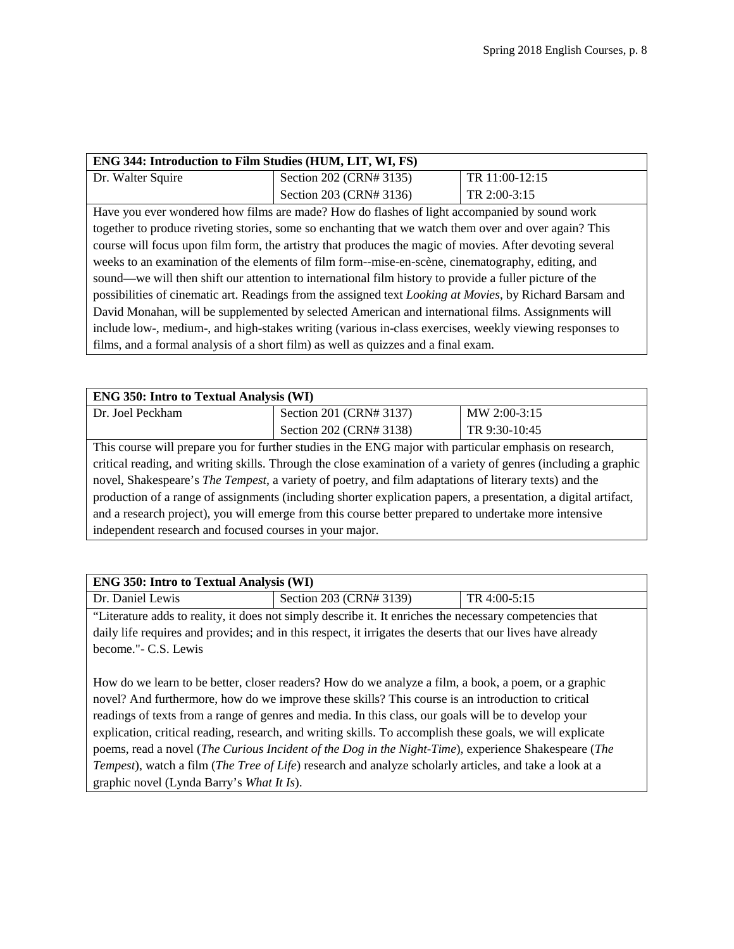| ENG 344: Introduction to Film Studies (HUM, LIT, WI, FS)                                                 |                                                                                                       |                |
|----------------------------------------------------------------------------------------------------------|-------------------------------------------------------------------------------------------------------|----------------|
| Dr. Walter Squire                                                                                        | Section 202 (CRN# 3135)                                                                               | TR 11:00-12:15 |
|                                                                                                          | Section 203 (CRN# 3136)                                                                               | TR 2:00-3:15   |
|                                                                                                          | Have you ever wondered how films are made? How do flashes of light accompanied by sound work          |                |
|                                                                                                          | together to produce riveting stories, some so enchanting that we watch them over and over again? This |                |
| course will focus upon film form, the artistry that produces the magic of movies. After devoting several |                                                                                                       |                |
| weeks to an examination of the elements of film form--mise-en-scène, cinematography, editing, and        |                                                                                                       |                |
| sound—we will then shift our attention to international film history to provide a fuller picture of the  |                                                                                                       |                |
| possibilities of cinematic art. Readings from the assigned text Looking at Movies, by Richard Barsam and |                                                                                                       |                |
| David Monahan, will be supplemented by selected American and international films. Assignments will       |                                                                                                       |                |
| include low-, medium-, and high-stakes writing (various in-class exercises, weekly viewing responses to  |                                                                                                       |                |
| films, and a formal analysis of a short film) as well as quizzes and a final exam.                       |                                                                                                       |                |

| <b>ENG 350: Intro to Textual Analysis (WI)</b>                                                                                                                                                                                    |                         |               |
|-----------------------------------------------------------------------------------------------------------------------------------------------------------------------------------------------------------------------------------|-------------------------|---------------|
| Dr. Joel Peckham                                                                                                                                                                                                                  | Section 201 (CRN# 3137) | MW 2:00-3:15  |
|                                                                                                                                                                                                                                   | Section 202 (CRN# 3138) | TR 9:30-10:45 |
| This course will prepare you for further studies in the ENG major with particular emphasis on research,                                                                                                                           |                         |               |
| $\mathbf{A}$ , and the second contract of the second contract of the second contract of the second contract of the second contract of the second contract of the second contract of the second contract of the second contract of |                         |               |

critical reading, and writing skills. Through the close examination of a variety of genres (including a graphic novel, Shakespeare's *The Tempest*, a variety of poetry, and film adaptations of literary texts) and the production of a range of assignments (including shorter explication papers, a presentation, a digital artifact, and a research project), you will emerge from this course better prepared to undertake more intensive independent research and focused courses in your major.

| <b>ENG 350: Intro to Textual Analysis (WI)</b>                                                            |                                                                                                             |              |
|-----------------------------------------------------------------------------------------------------------|-------------------------------------------------------------------------------------------------------------|--------------|
| Dr. Daniel Lewis                                                                                          | Section 203 (CRN# 3139)                                                                                     | TR 4:00-5:15 |
|                                                                                                           | "Literature adds to reality, it does not simply describe it. It enriches the necessary competencies that    |              |
|                                                                                                           | daily life requires and provides; and in this respect, it irrigates the deserts that our lives have already |              |
| become."- C.S. Lewis                                                                                      |                                                                                                             |              |
|                                                                                                           |                                                                                                             |              |
| How do we learn to be better, closer readers? How do we analyze a film, a book, a poem, or a graphic      |                                                                                                             |              |
| novel? And furthermore, how do we improve these skills? This course is an introduction to critical        |                                                                                                             |              |
| readings of texts from a range of genres and media. In this class, our goals will be to develop your      |                                                                                                             |              |
| explication, critical reading, research, and writing skills. To accomplish these goals, we will explicate |                                                                                                             |              |
| poems, read a novel (The Curious Incident of the Dog in the Night-Time), experience Shakespeare (The      |                                                                                                             |              |
| Tempest), watch a film (The Tree of Life) research and analyze scholarly articles, and take a look at a   |                                                                                                             |              |
| graphic novel (Lynda Barry's What It Is).                                                                 |                                                                                                             |              |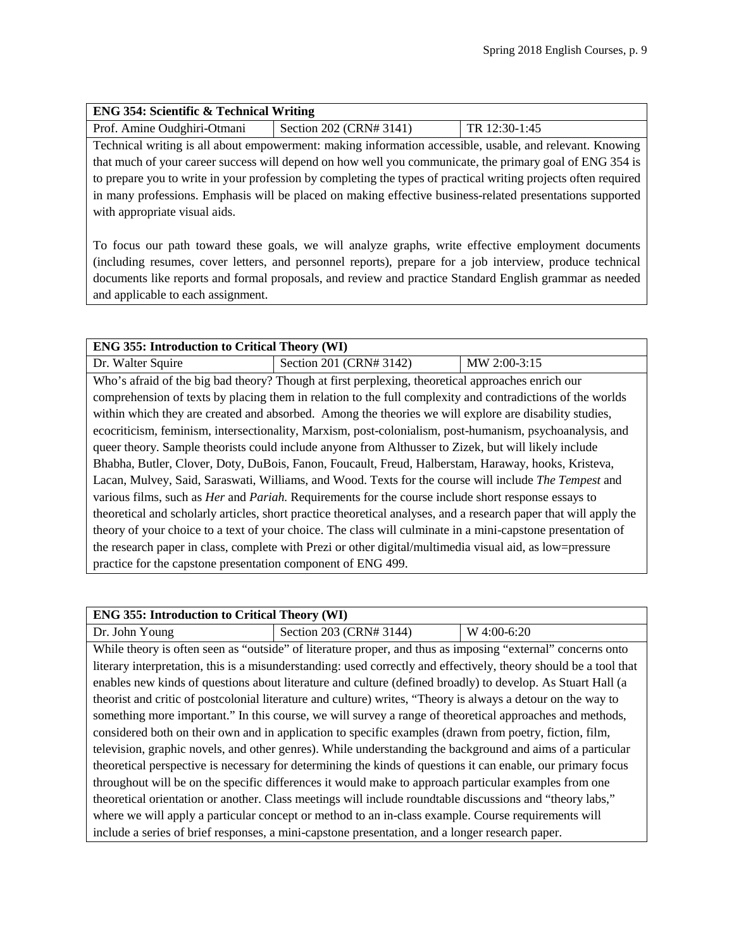| <b>ENG 354: Scientific &amp; Technical Writing</b> |                         |                 |
|----------------------------------------------------|-------------------------|-----------------|
| Prof. Amine Oudghiri-Otmani                        | Section 202 (CRN# 3141) | $TR 12:30-1:45$ |

Technical writing is all about empowerment: making information accessible, usable, and relevant. Knowing that much of your career success will depend on how well you communicate, the primary goal of ENG 354 is to prepare you to write in your profession by completing the types of practical writing projects often required in many professions. Emphasis will be placed on making effective business-related presentations supported with appropriate visual aids.

To focus our path toward these goals, we will analyze graphs, write effective employment documents (including resumes, cover letters, and personnel reports), prepare for a job interview, produce technical documents like reports and formal proposals, and review and practice Standard English grammar as needed and applicable to each assignment.

| <b>ENG 355: Introduction to Critical Theory (WI)</b>                                                               |                                                                                                            |              |  |
|--------------------------------------------------------------------------------------------------------------------|------------------------------------------------------------------------------------------------------------|--------------|--|
| Dr. Walter Squire                                                                                                  | Section 201 (CRN# 3142)                                                                                    | MW 2:00-3:15 |  |
|                                                                                                                    | Who's afraid of the big bad theory? Though at first perplexing, theoretical approaches enrich our          |              |  |
|                                                                                                                    | comprehension of texts by placing them in relation to the full complexity and contradictions of the worlds |              |  |
|                                                                                                                    | within which they are created and absorbed. Among the theories we will explore are disability studies,     |              |  |
|                                                                                                                    | ecocriticism, feminism, intersectionality, Marxism, post-colonialism, post-humanism, psychoanalysis, and   |              |  |
|                                                                                                                    | queer theory. Sample theorists could include anyone from Althusser to Zizek, but will likely include       |              |  |
| Bhabha, Butler, Clover, Doty, DuBois, Fanon, Foucault, Freud, Halberstam, Haraway, hooks, Kristeva,                |                                                                                                            |              |  |
| Lacan, Mulvey, Said, Saraswati, Williams, and Wood. Texts for the course will include The Tempest and              |                                                                                                            |              |  |
| various films, such as <i>Her</i> and <i>Pariah</i> . Requirements for the course include short response essays to |                                                                                                            |              |  |
| theoretical and scholarly articles, short practice theoretical analyses, and a research paper that will apply the  |                                                                                                            |              |  |
| theory of your choice to a text of your choice. The class will culminate in a mini-capstone presentation of        |                                                                                                            |              |  |
| the research paper in class, complete with Prezi or other digital/multimedia visual aid, as low=pressure           |                                                                                                            |              |  |
| practice for the capstone presentation component of ENG 499.                                                       |                                                                                                            |              |  |

| <b>ENG 355: Introduction to Critical Theory (WI)</b>                                                         |                                                                                                                   |             |
|--------------------------------------------------------------------------------------------------------------|-------------------------------------------------------------------------------------------------------------------|-------------|
| Dr. John Young                                                                                               | Section 203 (CRN# 3144)                                                                                           | W 4:00-6:20 |
|                                                                                                              | While theory is often seen as "outside" of literature proper, and thus as imposing "external" concerns onto       |             |
|                                                                                                              | literary interpretation, this is a misunderstanding: used correctly and effectively, theory should be a tool that |             |
|                                                                                                              | enables new kinds of questions about literature and culture (defined broadly) to develop. As Stuart Hall (a       |             |
|                                                                                                              | theorist and critic of postcolonial literature and culture) writes, "Theory is always a detour on the way to      |             |
| something more important." In this course, we will survey a range of theoretical approaches and methods,     |                                                                                                                   |             |
| considered both on their own and in application to specific examples (drawn from poetry, fiction, film,      |                                                                                                                   |             |
| television, graphic novels, and other genres). While understanding the background and aims of a particular   |                                                                                                                   |             |
| theoretical perspective is necessary for determining the kinds of questions it can enable, our primary focus |                                                                                                                   |             |
| throughout will be on the specific differences it would make to approach particular examples from one        |                                                                                                                   |             |
| theoretical orientation or another. Class meetings will include roundtable discussions and "theory labs,"    |                                                                                                                   |             |
| where we will apply a particular concept or method to an in-class example. Course requirements will          |                                                                                                                   |             |
| include a series of brief responses, a mini-capstone presentation, and a longer research paper.              |                                                                                                                   |             |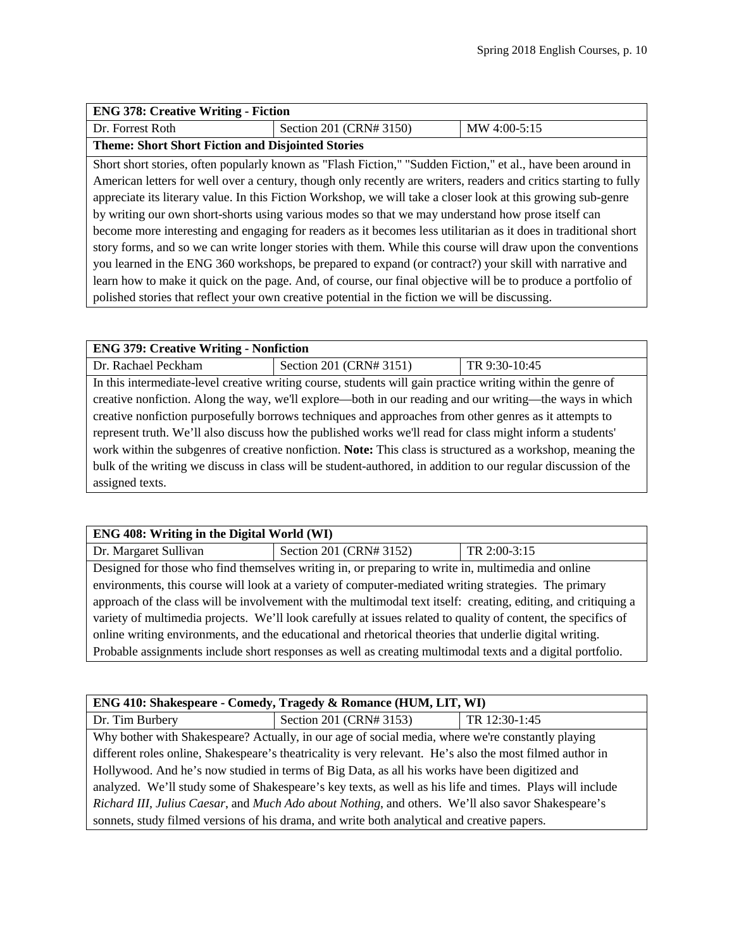| <b>ENG 378: Creative Writing - Fiction</b>                                                                      |                                                                                                                   |              |
|-----------------------------------------------------------------------------------------------------------------|-------------------------------------------------------------------------------------------------------------------|--------------|
| Dr. Forrest Roth                                                                                                | Section 201 (CRN# 3150)                                                                                           | MW 4:00-5:15 |
| <b>Theme: Short Short Fiction and Disjointed Stories</b>                                                        |                                                                                                                   |              |
|                                                                                                                 | Short short stories, often popularly known as "Flash Fiction," "Sudden Fiction," et al., have been around in      |              |
|                                                                                                                 | American letters for well over a century, though only recently are writers, readers and critics starting to fully |              |
| appreciate its literary value. In this Fiction Workshop, we will take a closer look at this growing sub-genre   |                                                                                                                   |              |
| by writing our own short-shorts using various modes so that we may understand how prose itself can              |                                                                                                                   |              |
| become more interesting and engaging for readers as it becomes less utilitarian as it does in traditional short |                                                                                                                   |              |
| story forms, and so we can write longer stories with them. While this course will draw upon the conventions     |                                                                                                                   |              |
|                                                                                                                 | you learned in the ENG 360 workshops, be prepared to expand (or contract?) your skill with narrative and          |              |
|                                                                                                                 | learn how to make it quick on the page. And, of course, our final objective will be to produce a portfolio of     |              |
|                                                                                                                 | polished stories that reflect your own creative potential in the fiction we will be discussing.                   |              |

# **ENG 379: Creative Writing - Nonfiction** Dr. Rachael Peckham Section 201 (CRN# 3151) TR 9:30-10:45 In this intermediate-level creative writing course, students will gain practice writing within the genre of creative nonfiction. Along the way, we'll explore—both in our reading and our writing—the ways in which creative nonfiction purposefully borrows techniques and approaches from other genres as it attempts to represent truth. We'll also discuss how the published works we'll read for class might inform a students' work within the subgenres of creative nonfiction. **Note:** This class is structured as a workshop, meaning the bulk of the writing we discuss in class will be student-authored, in addition to our regular discussion of the assigned texts.

### **ENG 408: Writing in the Digital World (WI)**

Dr. Margaret Sullivan Section 201 (CRN# 3152) TR 2:00-3:15

Designed for those who find themselves writing in, or preparing to write in, multimedia and online environments, this course will look at a variety of computer-mediated writing strategies. The primary approach of the class will be involvement with the multimodal text itself: creating, editing, and critiquing a variety of multimedia projects. We'll look carefully at issues related to quality of content, the specifics of online writing environments, and the educational and rhetorical theories that underlie digital writing. Probable assignments include short responses as well as creating multimodal texts and a digital portfolio.

| ENG 410: Shakespeare - Comedy, Tragedy & Romance (HUM, LIT, WI)                                           |                                                                                                   |               |
|-----------------------------------------------------------------------------------------------------------|---------------------------------------------------------------------------------------------------|---------------|
| Dr. Tim Burbery                                                                                           | Section 201 (CRN# 3153)                                                                           | TR 12:30-1:45 |
|                                                                                                           | Why bother with Shakespeare? Actually, in our age of social media, where we're constantly playing |               |
| different roles online, Shakespeare's theatricality is very relevant. He's also the most filmed author in |                                                                                                   |               |
| Hollywood. And he's now studied in terms of Big Data, as all his works have been digitized and            |                                                                                                   |               |
| analyzed. We'll study some of Shakespeare's key texts, as well as his life and times. Plays will include  |                                                                                                   |               |
| Richard III, Julius Caesar, and Much Ado about Nothing, and others. We'll also savor Shakespeare's        |                                                                                                   |               |
| sonnets, study filmed versions of his drama, and write both analytical and creative papers.               |                                                                                                   |               |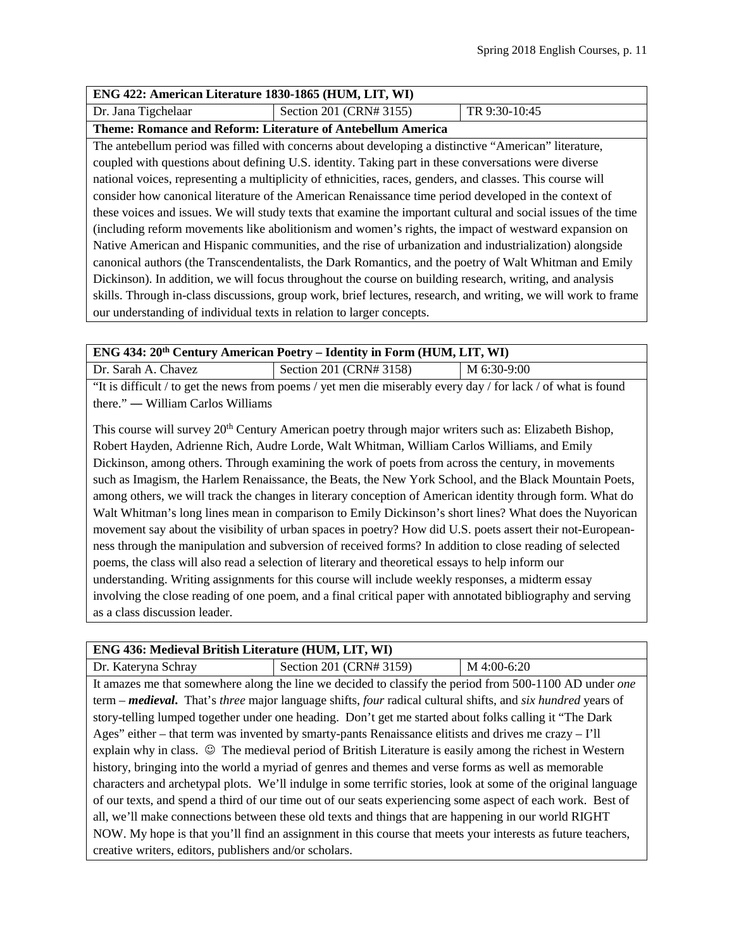| ENG 422: American Literature 1830-1865 (HUM, LIT, WI)                                                          |                         |               |
|----------------------------------------------------------------------------------------------------------------|-------------------------|---------------|
| Dr. Jana Tigchelaar                                                                                            | Section 201 (CRN# 3155) | TR 9:30-10:45 |
| Theme: Romance and Reform: Literature of Antebellum America                                                    |                         |               |
| The antebellum period was filled with concerns about developing a distinctive "American" literature,           |                         |               |
| coupled with questions about defining U.S. identity. Taking part in these conversations were diverse           |                         |               |
| national voices, representing a multiplicity of ethnicities, races, genders, and classes. This course will     |                         |               |
| consider how canonical literature of the American Renaissance time period developed in the context of          |                         |               |
| these voices and issues. We will study texts that examine the important cultural and social issues of the time |                         |               |
| (including reform movements like abolitionism and women's rights, the impact of westward expansion on          |                         |               |
| Native American and Hispanic communities, and the rise of urbanization and industrialization) alongside        |                         |               |

canonical authors (the Transcendentalists, the Dark Romantics, and the poetry of Walt Whitman and Emily Dickinson). In addition, we will focus throughout the course on building research, writing, and analysis skills. Through in-class discussions, group work, brief lectures, research, and writing, we will work to frame our understanding of individual texts in relation to larger concepts.

| <b>ENG 434: 20<sup>th</sup> Century American Poetry – Identity in Form (HUM, LIT, WI)</b>                     |                         |             |
|---------------------------------------------------------------------------------------------------------------|-------------------------|-------------|
| Dr. Sarah A. Chavez                                                                                           | Section 201 (CRN# 3158) | M 6:30-9:00 |
| "It is difficult / to get the news from poems / yet men die miserably every day / for lack / of what is found |                         |             |

there." ― William Carlos Williams

This course will survey 20<sup>th</sup> Century American poetry through major writers such as: Elizabeth Bishop, Robert Hayden, Adrienne Rich, Audre Lorde, Walt Whitman, William Carlos Williams, and Emily Dickinson, among others. Through examining the work of poets from across the century, in movements such as Imagism, the Harlem Renaissance, the Beats, the New York School, and the Black Mountain Poets, among others, we will track the changes in literary conception of American identity through form. What do Walt Whitman's long lines mean in comparison to Emily Dickinson's short lines? What does the Nuyorican movement say about the visibility of urban spaces in poetry? How did U.S. poets assert their not-Europeanness through the manipulation and subversion of received forms? In addition to close reading of selected poems, the class will also read a selection of literary and theoretical essays to help inform our understanding. Writing assignments for this course will include weekly responses, a midterm essay involving the close reading of one poem, and a final critical paper with annotated bibliography and serving as a class discussion leader.

# **ENG 436: Medieval British Literature (HUM, LIT, WI)**

| Dr. Kateryna Schray                                                                                            | Section 201 (CRN# 3159)                                                                                                                  | $M$ 4:00-6:20 |  |
|----------------------------------------------------------------------------------------------------------------|------------------------------------------------------------------------------------------------------------------------------------------|---------------|--|
|                                                                                                                | It amazes me that somewhere along the line we decided to classify the period from 500-1100 AD under one                                  |               |  |
|                                                                                                                | term – <i>medieval</i> . That's <i>three</i> major language shifts, <i>four</i> radical cultural shifts, and <i>six hundred</i> years of |               |  |
|                                                                                                                | story-telling lumped together under one heading. Don't get me started about folks calling it "The Dark"                                  |               |  |
|                                                                                                                | Ages" either – that term was invented by smarty-pants Renaissance elitists and drives me crazy – I'll                                    |               |  |
|                                                                                                                | explain why in class. © The medieval period of British Literature is easily among the richest in Western                                 |               |  |
| history, bringing into the world a myriad of genres and themes and verse forms as well as memorable            |                                                                                                                                          |               |  |
| characters and archetypal plots. We'll indulge in some terrific stories, look at some of the original language |                                                                                                                                          |               |  |
| of our texts, and spend a third of our time out of our seats experiencing some aspect of each work. Best of    |                                                                                                                                          |               |  |
| all, we'll make connections between these old texts and things that are happening in our world RIGHT           |                                                                                                                                          |               |  |
| NOW. My hope is that you'll find an assignment in this course that meets your interests as future teachers,    |                                                                                                                                          |               |  |
| creative writers, editors, publishers and/or scholars.                                                         |                                                                                                                                          |               |  |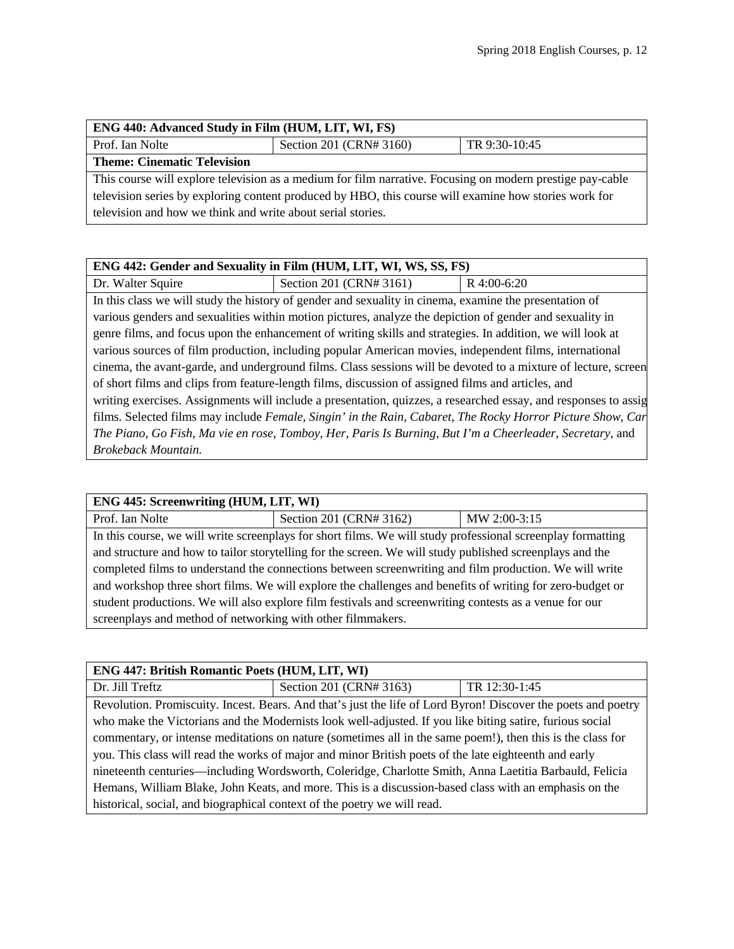| ENG 440: Advanced Study in Film (HUM, LIT, WI, FS)                                                        |                         |               |  |
|-----------------------------------------------------------------------------------------------------------|-------------------------|---------------|--|
| Prof. Ian Nolte                                                                                           | Section 201 (CRN# 3160) | TR 9:30-10:45 |  |
| <b>Theme: Cinematic Television</b>                                                                        |                         |               |  |
| This course will explore television as a medium for film narrative. Focusing on modern prestige pay-cable |                         |               |  |
| television series by exploring content produced by HBO, this course will examine how stories work for     |                         |               |  |
| television and how we think and write about serial stories.                                               |                         |               |  |

| ENG 442: Gender and Sexuality in Film (HUM, LIT, WI, WS, SS, FS)                                                |                                                                                                            |             |
|-----------------------------------------------------------------------------------------------------------------|------------------------------------------------------------------------------------------------------------|-------------|
| Dr. Walter Squire                                                                                               | Section 201 (CRN# 3161)                                                                                    | R 4:00-6:20 |
|                                                                                                                 | In this class we will study the history of gender and sexuality in cinema, examine the presentation of     |             |
|                                                                                                                 | various genders and sexualities within motion pictures, analyze the depiction of gender and sexuality in   |             |
|                                                                                                                 | genre films, and focus upon the enhancement of writing skills and strategies. In addition, we will look at |             |
| various sources of film production, including popular American movies, independent films, international         |                                                                                                            |             |
| cinema, the avant-garde, and underground films. Class sessions will be devoted to a mixture of lecture, screen  |                                                                                                            |             |
| of short films and clips from feature-length films, discussion of assigned films and articles, and              |                                                                                                            |             |
| writing exercises. Assignments will include a presentation, quizzes, a researched essay, and responses to assig |                                                                                                            |             |
| films. Selected films may include Female, Singin' in the Rain, Cabaret, The Rocky Horror Picture Show, Car      |                                                                                                            |             |
| The Piano, Go Fish, Ma vie en rose, Tomboy, Her, Paris Is Burning, But I'm a Cheerleader, Secretary, and        |                                                                                                            |             |
| Brokeback Mountain.                                                                                             |                                                                                                            |             |

| ENG 445: Screenwriting (HUM, LIT, WI)                                                                     |                                                                                                             |              |  |
|-----------------------------------------------------------------------------------------------------------|-------------------------------------------------------------------------------------------------------------|--------------|--|
| Prof. Ian Nolte                                                                                           | Section 201 (CRN# 3162)                                                                                     | MW 2:00-3:15 |  |
|                                                                                                           | In this course, we will write screenplays for short films. We will study professional screenplay formatting |              |  |
| and structure and how to tailor storytelling for the screen. We will study published screenplays and the  |                                                                                                             |              |  |
| completed films to understand the connections between screenwriting and film production. We will write    |                                                                                                             |              |  |
| and workshop three short films. We will explore the challenges and benefits of writing for zero-budget or |                                                                                                             |              |  |
| student productions. We will also explore film festivals and screenwriting contests as a venue for our    |                                                                                                             |              |  |
| screen plays and method of networking with other film makers.                                             |                                                                                                             |              |  |

| <b>ENG 447: British Romantic Poets (HUM, LIT, WI)</b>                                                      |                                                                                                               |               |
|------------------------------------------------------------------------------------------------------------|---------------------------------------------------------------------------------------------------------------|---------------|
| Dr. Jill Treftz                                                                                            | Section 201 (CRN# 3163)                                                                                       | TR 12:30-1:45 |
|                                                                                                            | Revolution. Promiscuity. Incest. Bears. And that's just the life of Lord Byron! Discover the poets and poetry |               |
| who make the Victorians and the Modernists look well-adjusted. If you like biting satire, furious social   |                                                                                                               |               |
| commentary, or intense meditations on nature (sometimes all in the same poem!), then this is the class for |                                                                                                               |               |
| you. This class will read the works of major and minor British poets of the late eighteenth and early      |                                                                                                               |               |
| nineteenth centuries—including Wordsworth, Coleridge, Charlotte Smith, Anna Laetitia Barbauld, Felicia     |                                                                                                               |               |
| Hemans, William Blake, John Keats, and more. This is a discussion-based class with an emphasis on the      |                                                                                                               |               |
| historical, social, and biographical context of the poetry we will read.                                   |                                                                                                               |               |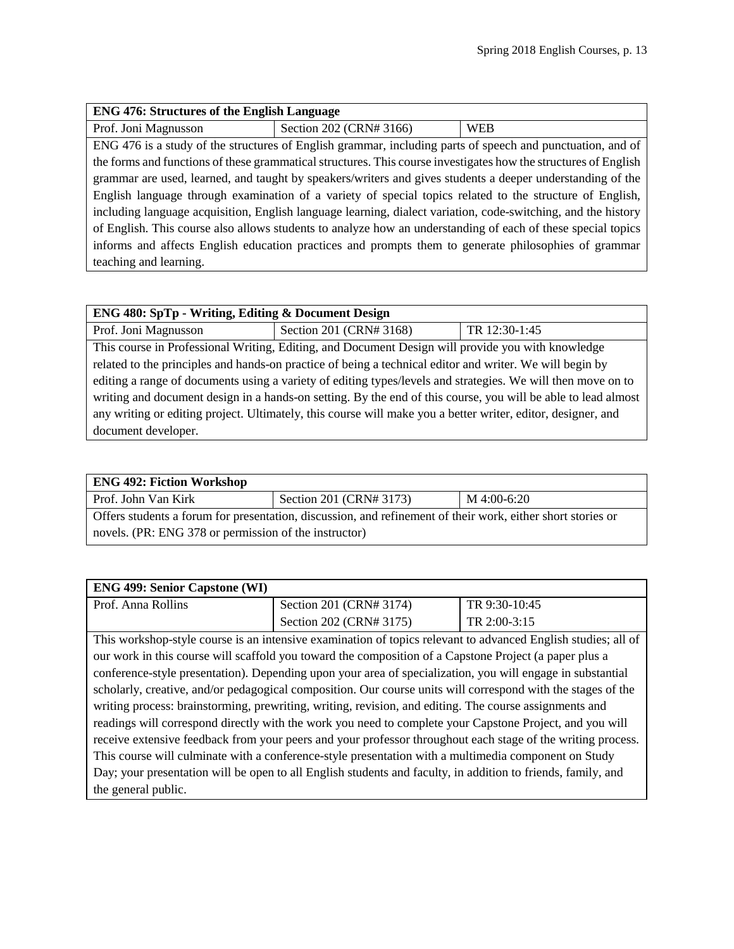| <b>ENG 476: Structures of the English Language</b>                                                              |                         |            |  |
|-----------------------------------------------------------------------------------------------------------------|-------------------------|------------|--|
| Prof. Joni Magnusson                                                                                            | Section 202 (CRN# 3166) | <b>WEB</b> |  |
| ENG 476 is a study of the structures of English grammar, including parts of speech and punctuation, and of      |                         |            |  |
| the forms and functions of these grammatical structures. This course investigates how the structures of English |                         |            |  |
| grammar are used, learned, and taught by speakers/writers and gives students a deeper understanding of the      |                         |            |  |
| English language through examination of a variety of special topics related to the structure of English,        |                         |            |  |
| including language acquisition, English language learning, dialect variation, code-switching, and the history   |                         |            |  |
| of English. This course also allows students to analyze how an understanding of each of these special topics    |                         |            |  |
| informs and affects English education practices and prompts them to generate philosophies of grammar            |                         |            |  |
| teaching and learning.                                                                                          |                         |            |  |

| <b>ENG 480: SpTp - Writing, Editing &amp; Document Design</b>                                                 |                         |               |  |
|---------------------------------------------------------------------------------------------------------------|-------------------------|---------------|--|
| Prof. Joni Magnusson                                                                                          | Section 201 (CRN# 3168) | TR 12:30-1:45 |  |
| This course in Professional Writing, Editing, and Document Design will provide you with knowledge             |                         |               |  |
| related to the principles and hands-on practice of being a technical editor and writer. We will begin by      |                         |               |  |
| editing a range of documents using a variety of editing types/levels and strategies. We will then move on to  |                         |               |  |
| writing and document design in a hands-on setting. By the end of this course, you will be able to lead almost |                         |               |  |
| any writing or editing project. Ultimately, this course will make you a better writer, editor, designer, and  |                         |               |  |
| document developer.                                                                                           |                         |               |  |

| <b>ENG 492: Fiction Workshop</b>                                                                            |                         |             |  |  |
|-------------------------------------------------------------------------------------------------------------|-------------------------|-------------|--|--|
| Prof. John Van Kirk                                                                                         | Section 201 (CRN# 3173) | M 4:00-6:20 |  |  |
| Offers students a forum for presentation, discussion, and refinement of their work, either short stories or |                         |             |  |  |
| novels. (PR: ENG 378 or permission of the instructor)                                                       |                         |             |  |  |

| <b>ENG 499: Senior Capstone (WI)</b>                                                                        |                         |               |
|-------------------------------------------------------------------------------------------------------------|-------------------------|---------------|
| Prof. Anna Rollins                                                                                          | Section 201 (CRN# 3174) | TR 9:30-10:45 |
|                                                                                                             | Section 202 (CRN# 3175) | TR 2:00-3:15  |
| This workshop style course is an intensive examination of tonics relayer to edyspeed English studies all of |                         |               |

This workshop-style course is an intensive examination of topics relevant to advanced English studies; all of our work in this course will scaffold you toward the composition of a Capstone Project (a paper plus a conference-style presentation). Depending upon your area of specialization, you will engage in substantial scholarly, creative, and/or pedagogical composition. Our course units will correspond with the stages of the writing process: brainstorming, prewriting, writing, revision, and editing. The course assignments and readings will correspond directly with the work you need to complete your Capstone Project, and you will receive extensive feedback from your peers and your professor throughout each stage of the writing process. This course will culminate with a conference-style presentation with a multimedia component on Study Day; your presentation will be open to all English students and faculty, in addition to friends, family, and the general public.